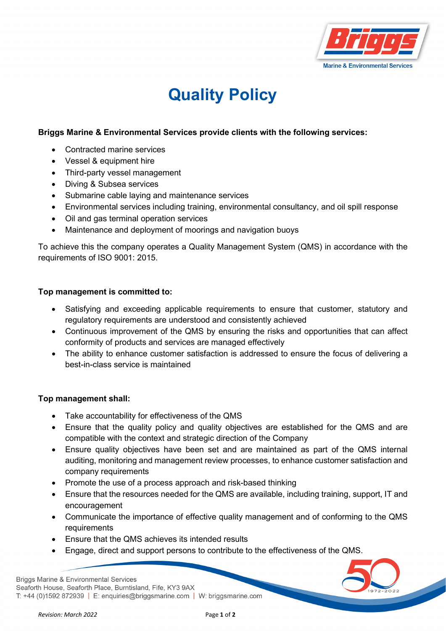

## **Quality Policy**

## **Briggs Marine & Environmental Services provide clients with the following services:**

- Contracted marine services
- Vessel & equipment hire
- Third-party vessel management
- Diving & Subsea services
- Submarine cable laying and maintenance services
- Environmental services including training, environmental consultancy, and oil spill response
- Oil and gas terminal operation services
- Maintenance and deployment of moorings and navigation buoys

To achieve this the company operates a Quality Management System (QMS) in accordance with the requirements of ISO 9001: 2015.

## **Top management is committed to:**

- Satisfying and exceeding applicable requirements to ensure that customer, statutory and regulatory requirements are understood and consistently achieved
- Continuous improvement of the QMS by ensuring the risks and opportunities that can affect conformity of products and services are managed effectively
- The ability to enhance customer satisfaction is addressed to ensure the focus of delivering a best-in-class service is maintained

## **Top management shall:**

- Take accountability for effectiveness of the QMS
- Ensure that the quality policy and quality objectives are established for the QMS and are compatible with the context and strategic direction of the Company
- Ensure quality objectives have been set and are maintained as part of the QMS internal auditing, monitoring and management review processes, to enhance customer satisfaction and company requirements
- Promote the use of a process approach and risk-based thinking
- Ensure that the resources needed for the QMS are available, including training, support, IT and encouragement
- Communicate the importance of effective quality management and of conforming to the QMS requirements
- Ensure that the QMS achieves its intended results
- Engage, direct and support persons to contribute to the effectiveness of the QMS.

**Briggs Marine & Environmental Services** Seaforth House, Seaforth Place, Burntisland, Fife, KY3 9AX T: +44 (0)1592 872939 | E: enquiries@briggsmarine.com | W: briggsmarine.com